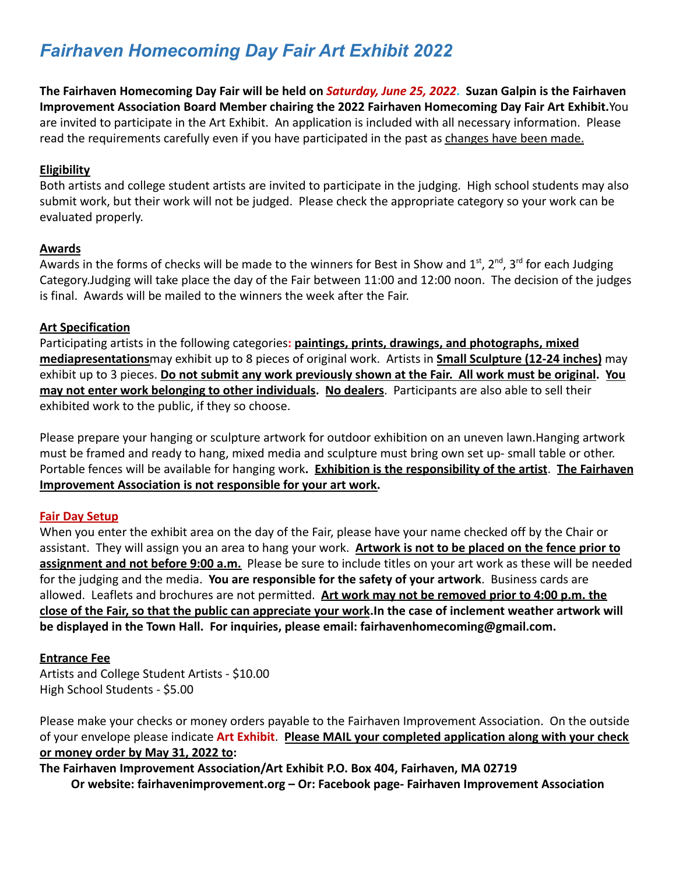# *Fairhaven Homecoming Day Fair Art Exhibit 2022*

**The Fairhaven Homecoming Day Fair will be held on** *Saturday, June 25, 2022***. Suzan Galpin is the Fairhaven Improvement Association Board Member chairing the 2022 Fairhaven Homecoming Day Fair Art Exhibit.**You are invited to participate in the Art Exhibit. An application is included with all necessary information. Please read the requirements carefully even if you have participated in the past as changes have been made.

### **Eligibility**

Both artists and college student artists are invited to participate in the judging. High school students may also submit work, but their work will not be judged. Please check the appropriate category so your work can be evaluated properly.

#### **Awards**

Awards in the forms of checks will be made to the winners for Best in Show and  $1^{st}$ ,  $2^{nd}$ ,  $3^{rd}$  for each Judging Category.Judging will take place the day of the Fair between 11:00 and 12:00 noon. The decision of the judges is final. Awards will be mailed to the winners the week after the Fair.

### **Art Specification**

Participating artists in the following categories**: paintings, prints, drawings, and photographs, mixed mediapresentations**may exhibit up to 8 pieces of original work. Artists in **Small Sculpture (12-24 inches)** may exhibit up to 3 pieces. **Do not submit any work previously shown at the Fair. All work must be original. You may not enter work belonging to other individuals. No dealers**. Participants are also able to sell their exhibited work to the public, if they so choose.

Please prepare your hanging or sculpture artwork for outdoor exhibition on an uneven lawn.Hanging artwork must be framed and ready to hang, mixed media and sculpture must bring own set up- small table or other. Portable fences will be available for hanging work**. Exhibition is the responsibility of the artist**. **The Fairhaven Improvement Association is not responsible for your art work.**

## **Fair Day Setup**

When you enter the exhibit area on the day of the Fair, please have your name checked off by the Chair or assistant. They will assign you an area to hang your work. **Artwork is not to be placed on the fence prior to assignment and not before 9:00 a.m.** Please be sure to include titles on your art work as these will be needed for the judging and the media. **You are responsible for the safety of your artwork**. Business cards are allowed. Leaflets and brochures are not permitted. **Art work may not be removed prior to 4:00 p.m. the close of the Fair, so that the public can appreciate your work.In the case of inclement weather artwork will be displayed in the Town Hall. For inquiries, please email: fairhavenhomecoming@gmail.com.**

#### **Entrance Fee**

Artists and College Student Artists - \$10.00 High School Students - \$5.00

Please make your checks or money orders payable to the Fairhaven Improvement Association. On the outside of your envelope please indicate **Art Exhibit**. **Please MAIL your completed application along with your check or money order by May 31, 2022 to:**

**The Fairhaven Improvement Association/Art Exhibit P.O. Box 404, Fairhaven, MA 02719 Or website: fairhavenimprovement.org – Or: Facebook page- Fairhaven Improvement Association**